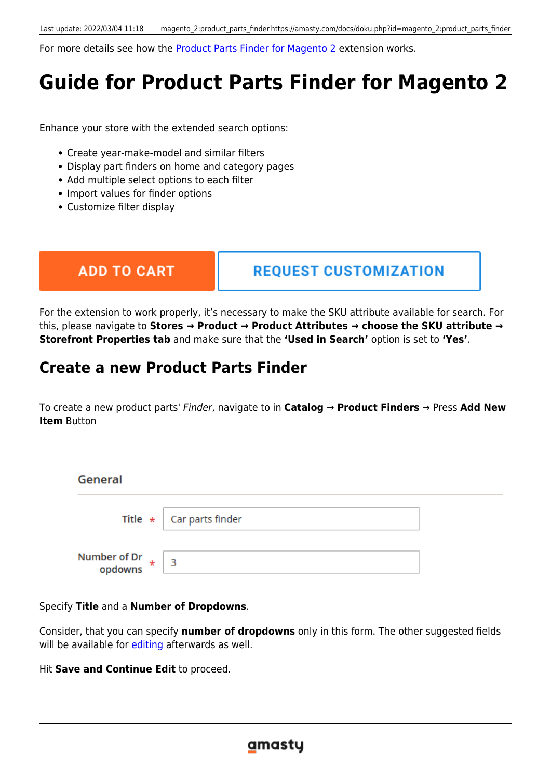For more details see how the [Product Parts Finder for Magento 2](https://product-parts-finder-m2.magento-demo.amasty.com/admin/admin/system_config/edit/section/amfinder/) extension works.

# **Guide for Product Parts Finder for Magento 2**

Enhance your store with the extended search options:

- Create year-make-model and similar filters
- Display part finders on home and category pages
- Add multiple select options to each filter
- Import values for finder options
- Customize filter display

**ADD TO CART** 

**REQUEST CUSTOMIZATION** 

For the extension to work properly, it's necessary to make the SKU attribute available for search. For this, please navigate to **Stores → Product → Product Attributes → choose the SKU attribute → Storefront Properties tab** and make sure that the **'Used in Search'** option is set to **'Yes'**.

# **Create a new Product Parts Finder**

To create a new product parts' Finder, navigate to in **Catalog** → **Product Finders** → Press **Add New Item** Button

| <b>General</b>          |                                  |  |
|-------------------------|----------------------------------|--|
|                         | Title $\star$   Car parts finder |  |
| Number of Dr<br>opdowns | - 3                              |  |

Specify **Title** and a **Number of Dropdowns**.

Consider, that you can specify **number of dropdowns** only in this form. The other suggested fields will be available for [editing](#page-1-0) afterwards as well.

<span id="page-1-0"></span>Hit **Save and Continue Edit** to proceed.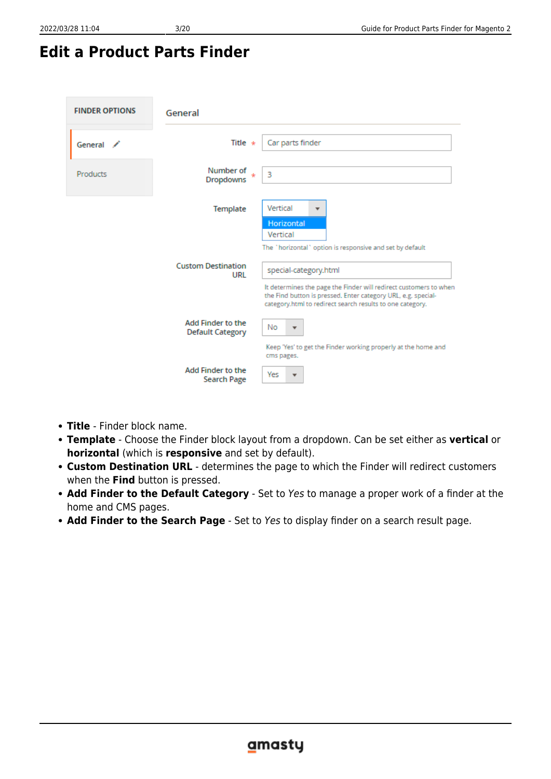# **Edit a Product Parts Finder**

| <b>FINDER OPTIONS</b> | General                                      |                                                                                                                                                                                                                          |
|-----------------------|----------------------------------------------|--------------------------------------------------------------------------------------------------------------------------------------------------------------------------------------------------------------------------|
| General /             | Title $\star$                                | Car parts finder                                                                                                                                                                                                         |
| Products              | Number of<br><b>Dropdowns</b>                | 3                                                                                                                                                                                                                        |
|                       | Template                                     | Vertical<br>$\overline{\phantom{a}}$<br><b>Horizontal</b><br>Vertical<br>The "horizontal" option is responsive and set by default                                                                                        |
|                       | <b>Custom Destination</b><br>URL             | special-category.html<br>It determines the page the Finder will redirect customers to when<br>the Find button is pressed. Enter category URL, e.g. special-<br>category.html to redirect search results to one category. |
|                       | Add Finder to the<br><b>Default Category</b> | No<br>$\overline{\mathbf{v}}$<br>Keep 'Yes' to get the Finder working properly at the home and<br>cms pages.                                                                                                             |
|                       | <b>Add Finder to the</b><br>Search Page      | Yes<br>$\overline{\phantom{a}}$                                                                                                                                                                                          |

- **Title** Finder block name.
- **Template** Choose the Finder block layout from a dropdown. Can be set either as **vertical** or **horizontal** (which is **responsive** and set by default).
- **Custom Destination URL** determines the page to which the Finder will redirect customers when the **Find** button is pressed.
- **Add Finder to the Default Category** Set to Yes to manage a proper work of a finder at the home and CMS pages.
- **Add Finder to the Search Page** Set to Yes to display finder on a search result page.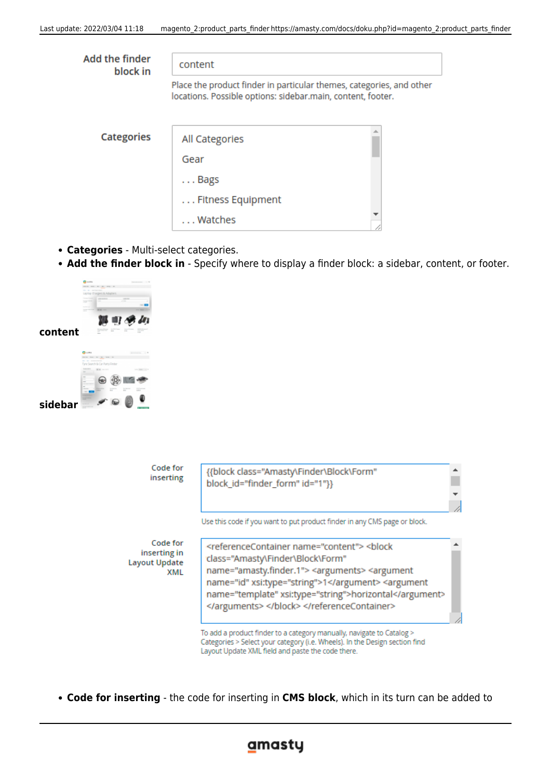| Add the finder<br>block in | content                                                                                                                             |  |  |  |
|----------------------------|-------------------------------------------------------------------------------------------------------------------------------------|--|--|--|
|                            | Place the product finder in particular themes, categories, and other<br>locations. Possible options: sidebar.main, content, footer. |  |  |  |
| <b>Categories</b>          | All Categories                                                                                                                      |  |  |  |
|                            | Gear                                                                                                                                |  |  |  |
|                            | $\ldots$ Bags                                                                                                                       |  |  |  |
|                            | Fitness Equipment                                                                                                                   |  |  |  |
|                            | Watches                                                                                                                             |  |  |  |

- **Categories** Multi-select categories.
- **Add the finder block in** Specify where to display a finder block: a sidebar, content, or footer.



**sidebar**

| Code for<br>inserting                                   | {{block class="Amasty\Finder\Block\Form"<br>block_id="finder_form" id="1"}}                                                                                                                                                                                                                                        |  |
|---------------------------------------------------------|--------------------------------------------------------------------------------------------------------------------------------------------------------------------------------------------------------------------------------------------------------------------------------------------------------------------|--|
|                                                         | Use this code if you want to put product finder in any CMS page or block.                                                                                                                                                                                                                                          |  |
| Code for<br>inserting in<br><b>Layout Update</b><br>XML | <referencecontainer name="content"> <block<br>class="Amasty\Finder\Block\Form"<br/>name="amasty.finder.1"&gt; <arguments> <argument<br>name="id" xsi:type="string"&gt;1 <argument<br>name="template" xsi:type="string"&gt;horizontal<br/></argument<br></argument<br></arguments> </block<br></referencecontainer> |  |
|                                                         | To add a product finder to a category manually, navigate to Catalog ><br>Categories > Select your category (i.e. Wheels). In the Design section find<br>Layout Update XML field and paste the code there.                                                                                                          |  |

**Code for inserting** - the code for inserting in **CMS block**, which in its turn can be added to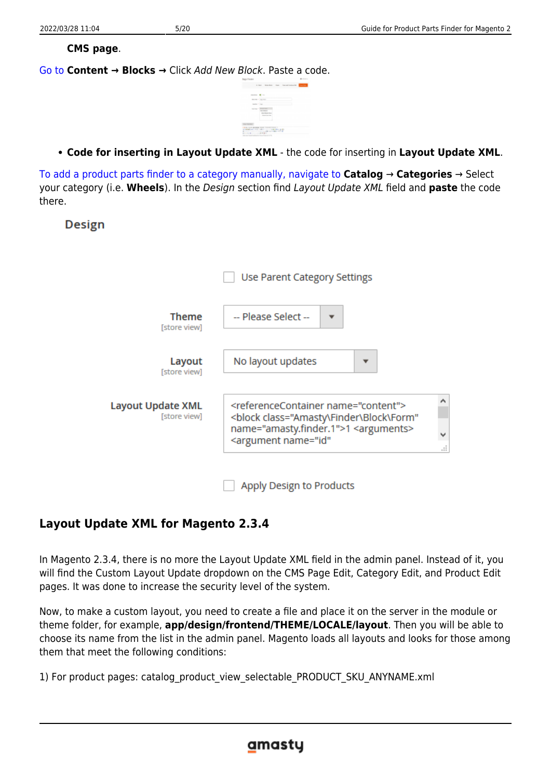#### **CMS page**.

[Go to](https://amasty.com/docs/lib/exe/fetch.php?media=magento_2:product-parts-finder:finder_015.png) **Content → Blocks →** Click Add New Block. Paste a code.

|  | sented # 16              |  |  |
|--|--------------------------|--|--|
|  | woman a large-service    |  |  |
|  | month 1 low              |  |  |
|  | SALLY PERSONAL<br>$\sim$ |  |  |

**Code for inserting in Layout Update XML** - the code for inserting in **Layout Update XML**.

[To add a product parts finder to a category manually, navigate to](https://amasty.com/docs/lib/exe/fetch.php?media=magento_2:product-parts-finder:finder_007.png) **Catalog** → **Categories** → Select your category (i.e. **Wheels**). In the Design section find Layout Update XML field and **paste** the code there.

**Design** 

|                                   | Use Parent Category Settings                                                                                                                                                                                                    |  |
|-----------------------------------|---------------------------------------------------------------------------------------------------------------------------------------------------------------------------------------------------------------------------------|--|
| Theme<br>[store view]             | -- Please Select --                                                                                                                                                                                                             |  |
| Layout<br>[store view]            | No layout updates                                                                                                                                                                                                               |  |
| Layout Update XML<br>[store view] | ́<br><referencecontainer name="content"><br/><block <br="" class="Amasty\Finder\Block\Form">name="amasty.finder.1"&gt;1 <arguments><br/>v<br/><argument <br="" name="id">u.</argument></arguments></block></referencecontainer> |  |
|                                   | Apply Design to Products                                                                                                                                                                                                        |  |

## **Layout Update XML for Magento 2.3.4**

In Magento 2.3.4, there is no more the Layout Update XML field in the admin panel. Instead of it, you will find the Custom Layout Update dropdown on the CMS Page Edit, Category Edit, and Product Edit pages. It was done to increase the security level of the system.

Now, to make a custom layout, you need to create a file and place it on the server in the module or theme folder, for example, **app/design/frontend/THEME/LOCALE/layout**. Then you will be able to choose its name from the list in the admin panel. Magento loads all layouts and looks for those among them that meet the following conditions:

1) For product pages: catalog\_product\_view\_selectable\_PRODUCT\_SKU\_ANYNAME.xml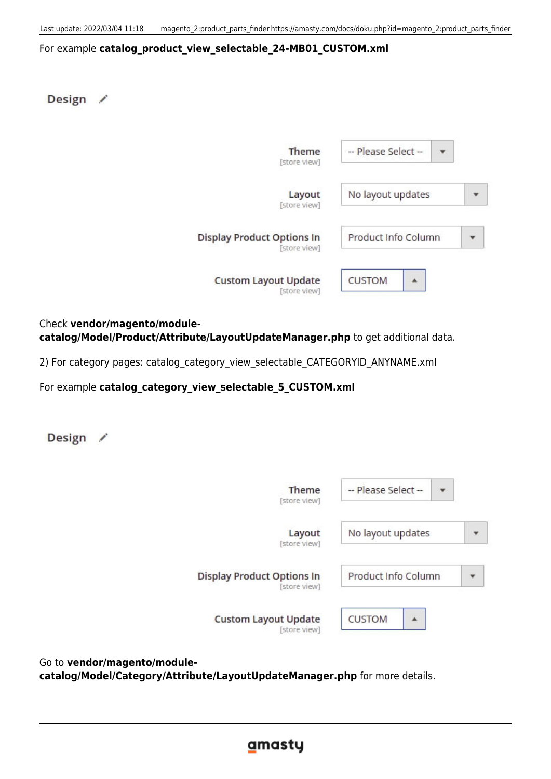#### For example **catalog\_product\_view\_selectable\_24-MB01\_CUSTOM.xml**

Design /

| Theme<br>[store view]                             | -- Please Select -- |  |
|---------------------------------------------------|---------------------|--|
| Layout<br>[store view]                            | No layout updates   |  |
| <b>Display Product Options In</b><br>[store view] | Product Info Column |  |
| <b>Custom Layout Update</b><br>[store view]       | <b>CUSTOM</b>       |  |

Check **vendor/magento/modulecatalog/Model/Product/Attribute/LayoutUpdateManager.php** to get additional data.

2) For category pages: catalog\_category\_view\_selectable\_CATEGORYID\_ANYNAME.xml

For example **catalog** category view selectable 5 CUSTOM.xml

Design /

| Theme<br>[store view]                             | -- Please Select -- |  |
|---------------------------------------------------|---------------------|--|
| Layout<br>[store view]                            | No layout updates   |  |
| <b>Display Product Options In</b><br>[store view] | Product Info Column |  |
| <b>Custom Layout Update</b><br>[store view]       | <b>CUSTOM</b>       |  |

Go to **vendor/magento/modulecatalog/Model/Category/Attribute/LayoutUpdateManager.php** for more details.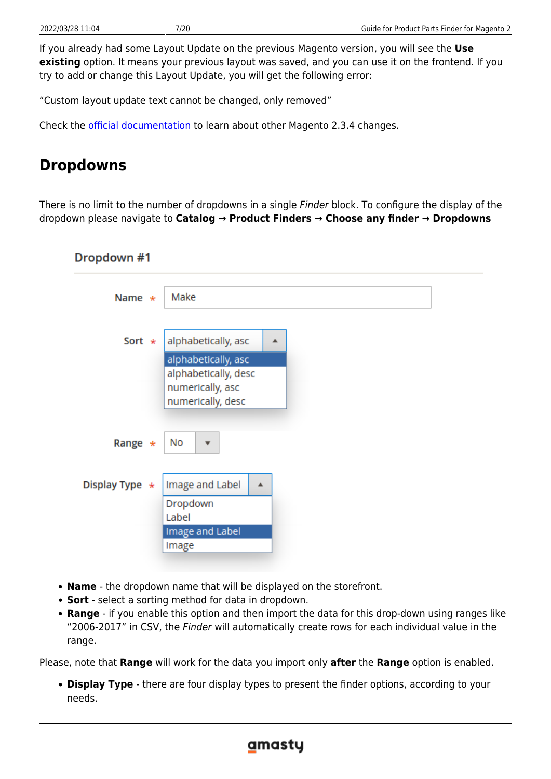If you already had some Layout Update on the previous Magento version, you will see the **Use existing** option. It means your previous layout was saved, and you can use it on the frontend. If you try to add or change this Layout Update, you will get the following error:

"Custom layout update text cannot be changed, only removed"

Check the [official documentation](https://devdocs.magento.com/guides/v2.3/release-notes/release-notes-2-3-4-open-source.html) to learn about other Magento 2.3.4 changes.

# **Dropdowns**

There is no limit to the number of dropdowns in a single *Finder* block. To configure the display of the dropdown please navigate to **Catalog → Product Finders → Choose any finder → Dropdowns**

| Dropdown #1      |                                                                                             |
|------------------|---------------------------------------------------------------------------------------------|
| Name $\star$     | Make                                                                                        |
| Sort $\star$     | alphabetically, asc<br>▲<br>alphabetically, asc<br>alphabetically, desc<br>numerically, asc |
| Range $*$        | numerically, desc<br>No<br>$\overline{\mathbf{v}}$                                          |
| Display Type $*$ | Image and Label<br>▲<br>Dropdown<br>Label<br>Image and Label<br>Image                       |

- **Name** the dropdown name that will be displayed on the storefront.
- **Sort** select a sorting method for data in dropdown.
- **Range** if you enable this option and then import the data for this drop-down using ranges like "2006-2017" in CSV, the Finder will automatically create rows for each individual value in the range.

Please, note that **Range** will work for the data you import only **after** the **Range** option is enabled.

**Display Type** - there are four display types to present the finder options, according to your needs.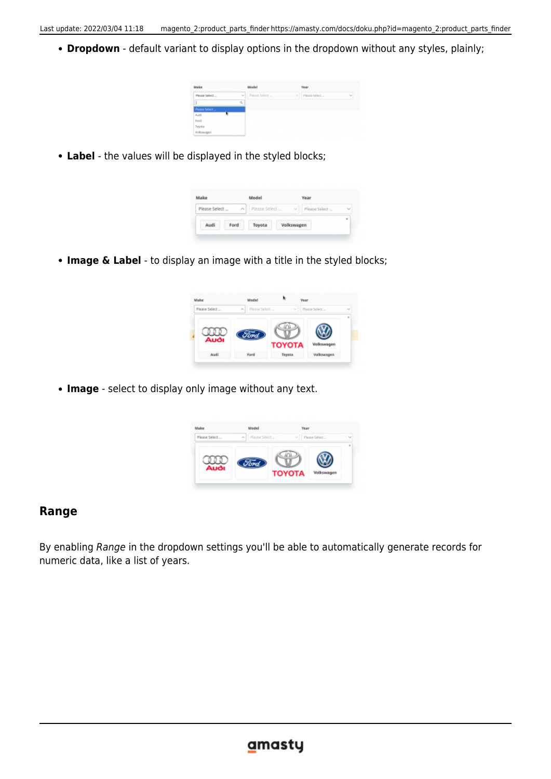**Dropdown** - default variant to display options in the dropdown without any styles, plainly;



**Label** - the values will be displayed in the styled blocks;

| Make          |                 | Model         |                         | Year          |        |
|---------------|-----------------|---------------|-------------------------|---------------|--------|
| Please Select | $\mathcal{N}_L$ | Please Select | $\mathcal{N}_{\rm eff}$ | Please Select | $\sim$ |
| Audi          | Ford            | Toyota        | Volkswagen              |               | ×      |

**Image & Label** - to display an image with a title in the styled blocks;

| Make          | Model           |                    | Year                       |
|---------------|-----------------|--------------------|----------------------------|
| Please Select | $\mathcal{A}_1$ | Please Select<br>v | Please Select<br>$\sim$    |
| Auði          | <i>Sord</i>     | <b>TOYOTA</b>      | $\mathbf{z}$<br>Volkswagen |
| Audi          | Ford            | Toyota             | Volkswagen                 |

**Image** - select to display only image without any text.

| Make          |    | Model         | Year          |               |   |
|---------------|----|---------------|---------------|---------------|---|
| Please Select | ×. | Please Select | $\sim$        | Please Select |   |
| Auði          |    |               | <b>TOYOTA</b> | Volksw        | × |

#### **Range**

By enabling Range in the dropdown settings you'll be able to automatically generate records for numeric data, like a list of years.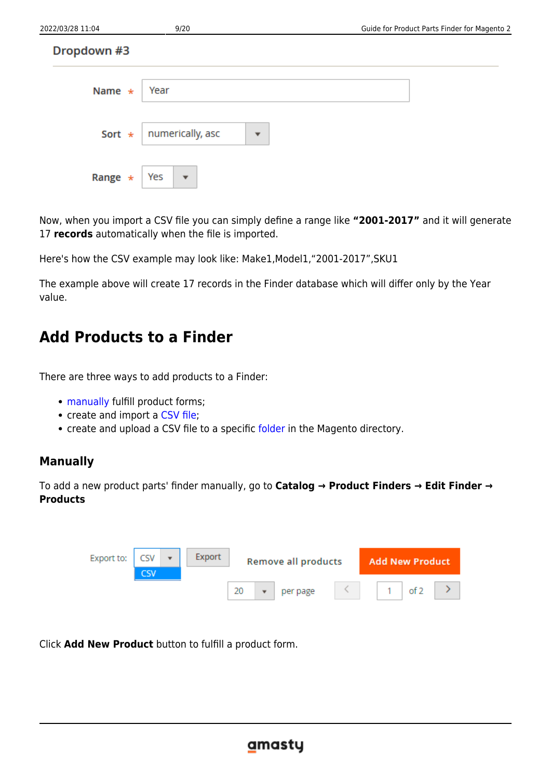| 2022/03/28 11:04 | 9/20                           | Guide for Product Parts Finder for Magento 2 |
|------------------|--------------------------------|----------------------------------------------|
| Dropdown #3      |                                |                                              |
| Name $\star$     | Year                           |                                              |
| Sort $\star$     | numerically, asc<br>▼          |                                              |
| Range $\star$    | Yes<br>$\overline{\mathbf{v}}$ |                                              |

Now, when you import a CSV file you can simply define a range like **"2001-2017"** and it will generate 17 **records** automatically when the file is imported.

Here's how the CSV example may look like: Make1,Model1,"2001-2017",SKU1

The example above will create 17 records in the Finder database which will differ only by the Year value.

# **Add Products to a Finder**

There are three ways to add products to a Finder:

- [manually](#page-8-0) fulfill product forms;
- create and import a [CSV file](#page-9-0);
- create and upload a CSV file to a specific [folder](#page--1-0) in the Magento directory.

#### <span id="page-8-0"></span>**Manually**

To add a new product parts' finder manually, go to **Catalog → Product Finders → Edit Finder → Products**



Click **Add New Product** button to fulfill a product form.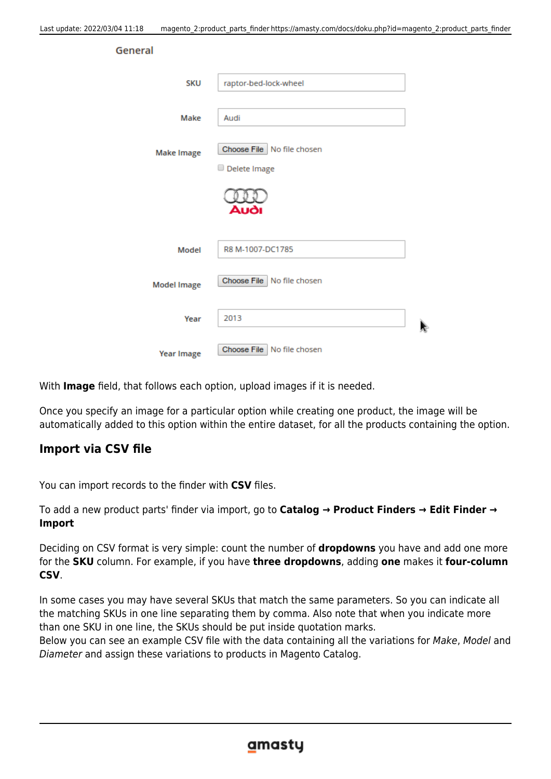General

| <b>SKU</b>         | raptor-bed-lock-wheel                        |
|--------------------|----------------------------------------------|
| Make               | Audi                                         |
| <b>Make Image</b>  | Choose File   No file chosen<br>Delete Image |
|                    | Auði                                         |
| Model              | R8 M-1007-DC1785                             |
| <b>Model Image</b> | Choose File   No file chosen                 |
| Year               | 2013                                         |
| <b>Year Image</b>  | Choose File   No file chosen                 |

With **Image** field, that follows each option, upload images if it is needed.

Once you specify an image for a particular option while creating one product, the image will be automatically added to this option within the entire dataset, for all the products containing the option.

#### <span id="page-9-0"></span>**Import via CSV file**

You can import records to the finder with **CSV** files.

To add a new product parts' finder via import, go to **Catalog → Product Finders → Edit Finder → Import**

Deciding on CSV format is very simple: count the number of **dropdowns** you have and add one more for the **SKU** column. For example, if you have **three dropdowns**, adding **one** makes it **four-column CSV**.

In some cases you may have several SKUs that match the same parameters. So you can indicate all the matching SKUs in one line separating them by comma. Also note that when you indicate more than one SKU in one line, the SKUs should be put inside quotation marks.

Below you can see an example CSV file with the data containing all the variations for Make, Model and Diameter and assign these variations to products in Magento Catalog.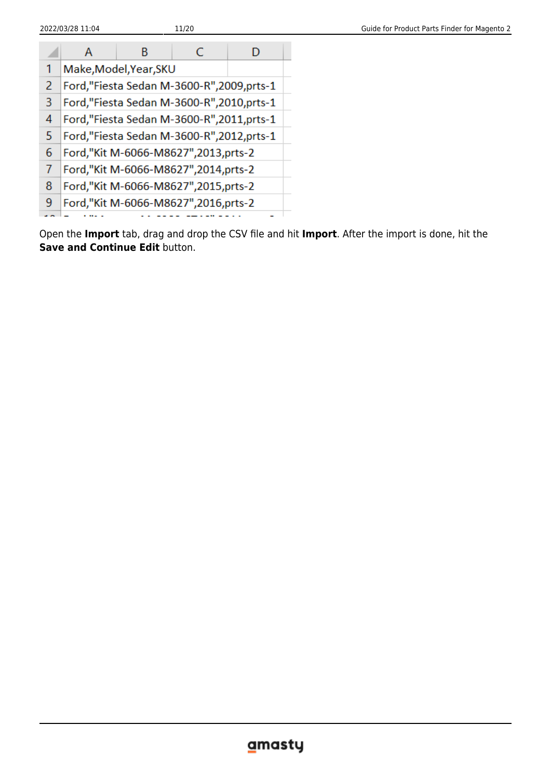|   | А                                        | в | C                                        |  |  |  |
|---|------------------------------------------|---|------------------------------------------|--|--|--|
| 1 | Make, Model, Year, SKU                   |   |                                          |  |  |  |
| 2 |                                          |   | Ford,"Fiesta Sedan M-3600-R",2009,prts-1 |  |  |  |
| 3 | Ford,"Fiesta Sedan M-3600-R",2010,prts-1 |   |                                          |  |  |  |
| 4 | Ford,"Fiesta Sedan M-3600-R",2011,prts-1 |   |                                          |  |  |  |
| 5 | Ford,"Fiesta Sedan M-3600-R",2012,prts-1 |   |                                          |  |  |  |
| 6 | Ford,"Kit M-6066-M8627",2013,prts-2      |   |                                          |  |  |  |
|   | Ford,"Kit M-6066-M8627",2014,prts-2      |   |                                          |  |  |  |
| 8 |                                          |   | Ford,"Kit M-6066-M8627",2015,prts-2      |  |  |  |
| 9 | Ford,"Kit M-6066-M8627",2016,prts-2      |   |                                          |  |  |  |
|   |                                          |   |                                          |  |  |  |

Open the **Import** tab, drag and drop the CSV file and hit **Import**. After the import is done, hit the **Save and Continue Edit** button.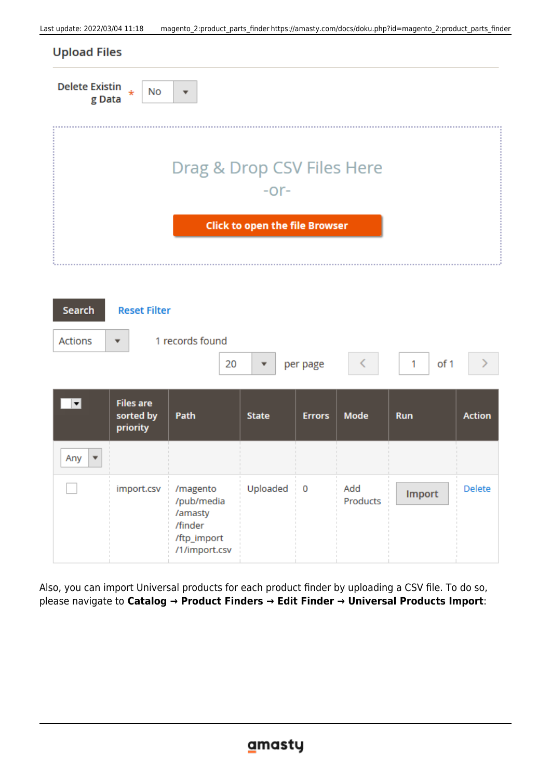| <b>Delete Existin</b><br>$\star$<br>g Data | No<br>$\overline{\phantom{a}}$        |
|--------------------------------------------|---------------------------------------|
|                                            |                                       |
|                                            |                                       |
|                                            | Drag & Drop CSV Files Here            |
|                                            | $-0r-$                                |
|                                            | <b>Click to open the file Browser</b> |
|                                            |                                       |
|                                            |                                       |

| <b>Search</b>                  | <b>Reset Filter</b>                       |                                                                              |              |               |                 |               |               |
|--------------------------------|-------------------------------------------|------------------------------------------------------------------------------|--------------|---------------|-----------------|---------------|---------------|
| <b>Actions</b>                 | ▼                                         | 1 records found<br>20                                                        |              | per page      |                 | of 1<br>1     |               |
| $\vert \mathbf{v} \vert$       | <b>Files are</b><br>sorted by<br>priority | Path                                                                         | <b>State</b> | <b>Errors</b> | Mode            | <b>Run</b>    | <b>Action</b> |
| Any<br>$\overline{\mathbf{v}}$ |                                           |                                                                              |              |               |                 |               |               |
|                                | import.csv                                | /magento<br>/pub/media<br>/amasty<br>/finder<br>/ftp_import<br>/1/import.csv | Uploaded     | $\mathbf 0$   | Add<br>Products | <b>Import</b> | <b>Delete</b> |

Also, you can import Universal products for each product finder by uploading a CSV file. To do so, please navigate to **Catalog → Product Finders → Edit Finder → Universal Products Import**: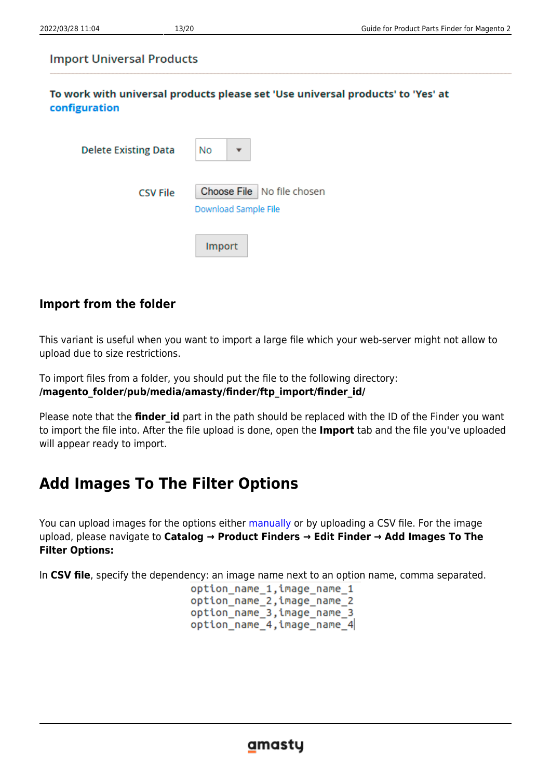#### **Import Universal Products**

To work with universal products please set 'Use universal products' to 'Yes' at configuration

| <b>Delete Existing Data</b> | No                                                   |
|-----------------------------|------------------------------------------------------|
| <b>CSV File</b>             | Choose File   No file chosen<br>Download Sample File |
|                             | <b>Import</b>                                        |

## **Import from the folder**

This variant is useful when you want to import a large file which your web-server might not allow to upload due to size restrictions.

To import files from a folder, you should put the file to the following directory: **/magento\_folder/pub/media/amasty/finder/ftp\_import/finder\_id/**

Please note that the **finder id** part in the path should be replaced with the ID of the Finder you want to import the file into. After the file upload is done, open the **Import** tab and the file you've uploaded will appear ready to import.

# **Add Images To The Filter Options**

You can upload images for the options either [manually](#page-8-0) or by uploading a CSV file. For the image upload, please navigate to **Catalog → Product Finders → Edit Finder → Add Images To The Filter Options:**

In **CSV file**, specify the dependency: an image name next to an option name, comma separated.

option name 1, image name 1 option\_name\_2, image\_name\_2 option name 3, image name 3 option name 4, image name 4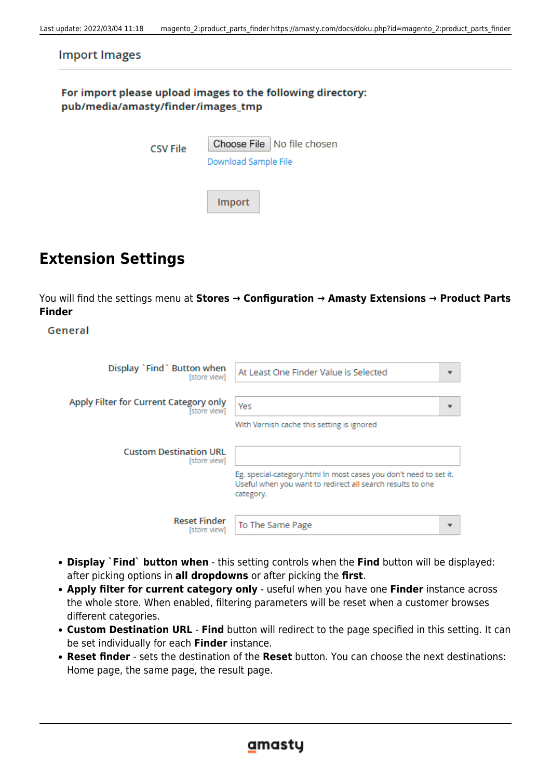| <b>Import Images</b>                                                                              |                                                      |  |  |  |  |
|---------------------------------------------------------------------------------------------------|------------------------------------------------------|--|--|--|--|
| For import please upload images to the following directory:<br>pub/media/amasty/finder/images_tmp |                                                      |  |  |  |  |
| <b>CSV File</b>                                                                                   | Choose File   No file chosen<br>Download Sample File |  |  |  |  |
|                                                                                                   | Import                                               |  |  |  |  |

# **Extension Settings**

You will find the settings menu at **Stores → Configuration → Amasty Extensions → Product Parts Finder**

General

| Display `Find` Button when                    | At Least One Finder Value is Selected                                                                                                        |
|-----------------------------------------------|----------------------------------------------------------------------------------------------------------------------------------------------|
| [store view]                                  | $\overline{\phantom{a}}$                                                                                                                     |
| Apply Filter for Current Category only        | Yes                                                                                                                                          |
| [store view]                                  | $\overline{\phantom{a}}$                                                                                                                     |
|                                               | With Varnish cache this setting is ignored                                                                                                   |
| <b>Custom Destination URL</b><br>[store view] |                                                                                                                                              |
|                                               | Eg. special-category.html In most cases you don't need to set it.<br>Useful when you want to redirect all search results to one<br>category. |
| <b>Reset Finder</b>                           | To The Same Page                                                                                                                             |
| [store view]                                  | $\overline{\phantom{a}}$                                                                                                                     |

- **Display `Find` button when** this setting controls when the **Find** button will be displayed: after picking options in **all dropdowns** or after picking the **first**.
- **Apply filter for current category only** useful when you have one **Finder** instance across the whole store. When enabled, filtering parameters will be reset when a customer browses different categories.
- **Custom Destination URL Find** button will redirect to the page specified in this setting. It can be set individually for each **Finder** instance.
- **Reset finder** sets the destination of the **Reset** button. You can choose the next destinations: Home page, the same page, the result page.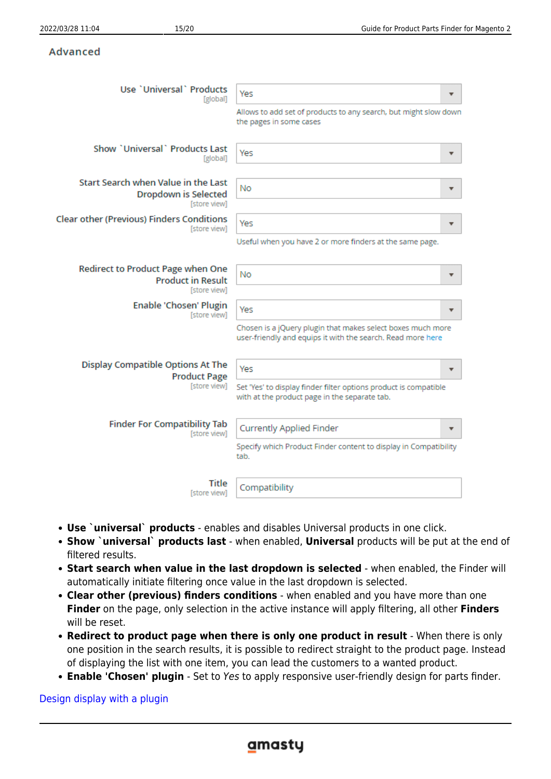#### Advanced

| Use `Universal` Products<br>[global]                                          | Yes<br>▼                                                                                                                   |
|-------------------------------------------------------------------------------|----------------------------------------------------------------------------------------------------------------------------|
|                                                                               | Allows to add set of products to any search, but might slow down<br>the pages in some cases                                |
| Show `Universal` Products Last<br>[global]                                    | Yes                                                                                                                        |
| Start Search when Value in the Last<br>Dropdown is Selected<br>[store view]   | No<br>▼                                                                                                                    |
| <b>Clear other (Previous) Finders Conditions</b><br>[store view]              | Yes<br>▼                                                                                                                   |
|                                                                               | Useful when you have 2 or more finders at the same page.                                                                   |
| Redirect to Product Page when One<br><b>Product in Result</b><br>[store view] | No<br>▼                                                                                                                    |
| <b>Enable 'Chosen' Plugin</b><br>[store view]                                 | Yes                                                                                                                        |
|                                                                               | Chosen is a jQuery plugin that makes select boxes much more<br>user-friendly and equips it with the search. Read more here |
| Display Compatible Options At The<br><b>Product Page</b>                      | Yes<br>▼                                                                                                                   |
| [store view]                                                                  | Set 'Yes' to display finder filter options product is compatible<br>with at the product page in the separate tab.          |
| <b>Finder For Compatibility Tab</b><br>[store view]                           | <b>Currently Applied Finder</b>                                                                                            |
|                                                                               | Specify which Product Finder content to display in Compatibility<br>tab.                                                   |
| Title<br>[store view]                                                         | Compatibility                                                                                                              |

- **Use `universal` products** enables and disables Universal products in one click.
- **Show `universal` products last** when enabled, **Universal** products will be put at the end of filtered results.
- **Start search when value in the last dropdown is selected** when enabled, the Finder will automatically initiate filtering once value in the last dropdown is selected.
- **Clear other (previous) finders conditions** when enabled and you have more than one **Finder** on the page, only selection in the active instance will apply filtering, all other **Finders** will be reset.
- **Redirect to product page when there is only one product in result** When there is only one position in the search results, it is possible to redirect straight to the product page. Instead of displaying the list with one item, you can lead the customers to a wanted product.
- **Enable 'Chosen' plugin** Set to Yes to apply responsive user-friendly design for parts finder.

[Design display with a plugin](https://amasty.com/docs/lib/exe/fetch.php?media=magento_2:product-parts-finder:finder_005ee.png)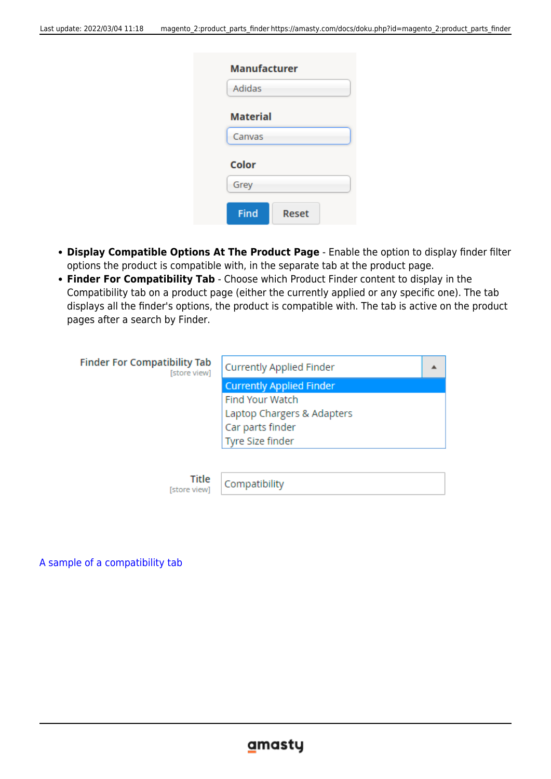| Adidas          |  |
|-----------------|--|
| <b>Material</b> |  |
| Canvas          |  |
| <b>Color</b>    |  |
| Grey            |  |

- **Display Compatible Options At The Product Page** Enable the option to display finder filter options the product is compatible with, in the separate tab at the product page.
- **Finder For Compatibility Tab** Choose which Product Finder content to display in the Compatibility tab on a product page (either the currently applied or any specific one). The tab displays all the finder's options, the product is compatible with. The tab is active on the product pages after a search by Finder.

**Finder For Compatibility Tab** [store view]

| Currently Applied Finder        |  |
|---------------------------------|--|
| <b>Currently Applied Finder</b> |  |
| <b>Find Your Watch</b>          |  |
| Laptop Chargers & Adapters      |  |
| Car parts finder                |  |
| Tyre Size finder                |  |

Title [store view]

Compatibility

[A sample of a compatibility tab](https://amasty.com/docs/lib/exe/fetch.php?media=magento_2:product-parts-finder:finder_compt2.png)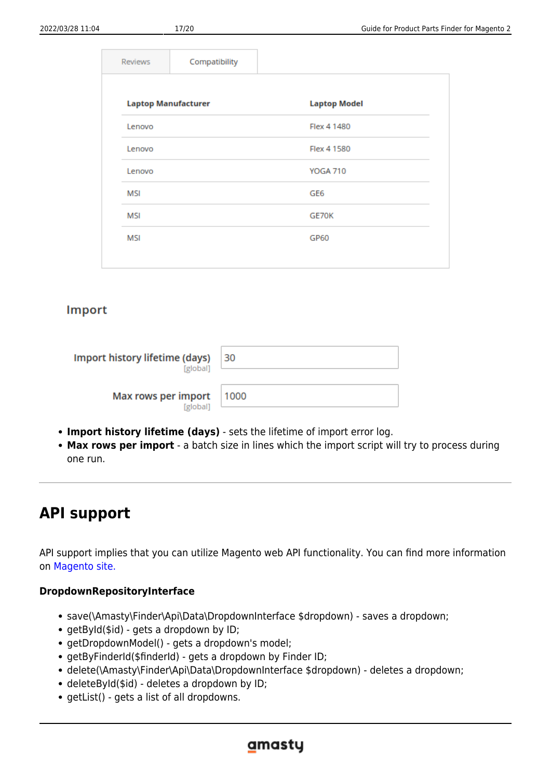| <b>Reviews</b>             | Compatibility |                     |
|----------------------------|---------------|---------------------|
|                            |               |                     |
| <b>Laptop Manufacturer</b> |               | <b>Laptop Model</b> |
| Lenovo                     |               | Flex 4 1480         |
| Lenovo                     |               | Flex 4 1580         |
| Lenovo                     |               | <b>YOGA 710</b>     |
| <b>MSI</b>                 |               | GE <sub>6</sub>     |
| <b>MSI</b>                 |               | GE70K               |
| <b>MSI</b>                 |               | <b>GP60</b>         |
|                            |               |                     |

#### Import

| Import history lifetime (days)<br>[global] | 30   |
|--------------------------------------------|------|
| Max rows per import<br>[global]            | 1000 |

- **Import history lifetime (days)** sets the lifetime of import error log.
- **Max rows per import** a batch size in lines which the import script will try to process during one run.

# **API support**

API support implies that you can utilize Magento web API functionality. You can find more information on [Magento site.](http://devdocs.magento.com/guides/v2.1/get-started/bk-get-started-api.html)

#### **DropdownRepositoryInterface**

- save(\Amasty\Finder\Api\Data\DropdownInterface \$dropdown) saves a dropdown;
- getById(\$id) gets a dropdown by ID;
- getDropdownModel() gets a dropdown's model;
- getByFinderId(\$finderId) gets a dropdown by Finder ID;
- delete(\Amasty\Finder\Api\Data\DropdownInterface \$dropdown) deletes a dropdown;
- deleteById(\$id) deletes a dropdown by ID;
- getList() gets a list of all dropdowns.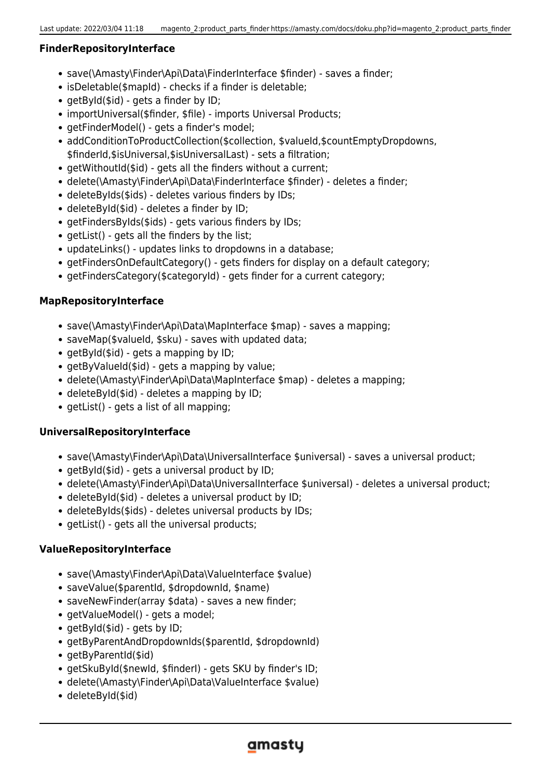#### **FinderRepositoryInterface**

- save(\Amasty\Finder\Api\Data\FinderInterface \$finder) saves a finder;
- isDeletable(\$mapId) checks if a finder is deletable;
- $\bullet$  getById(\$id) gets a finder by ID;
- importUniversal(\$finder, \$file) imports Universal Products;
- getFinderModel() gets a finder's model;
- addConditionToProductCollection(\$collection, \$valueId,\$countEmptyDropdowns, \$finderId,\$isUniversal,\$isUniversalLast) - sets a filtration;
- getWithoutId(\$id) gets all the finders without a current;
- delete(\Amasty\Finder\Api\Data\FinderInterface \$finder) deletes a finder;
- deleteByIds(\$ids) deletes various finders by IDs;
- deleteById(\$id) deletes a finder by ID;
- getFindersByIds(\$ids) gets various finders by IDs;
- getList() gets all the finders by the list;
- updateLinks() updates links to dropdowns in a database;
- getFindersOnDefaultCategory() gets finders for display on a default category;
- getFindersCategory(\$categoryId) gets finder for a current category;

#### **MapRepositoryInterface**

- save(\Amasty\Finder\Api\Data\MapInterface \$map) saves a mapping;
- saveMap(\$valueId, \$sku) saves with updated data;
- getById(\$id) gets a mapping by ID;
- getByValueId(\$id) gets a mapping by value;
- delete(\Amasty\Finder\Api\Data\MapInterface \$map) deletes a mapping;
- deleteById(\$id) deletes a mapping by ID;
- getList() gets a list of all mapping;

#### **UniversalRepositoryInterface**

- save(\Amasty\Finder\Api\Data\UniversalInterface \$universal) saves a universal product;
- getById(\$id) gets a universal product by ID;
- delete(\Amasty\Finder\Api\Data\UniversalInterface \$universal) deletes a universal product;
- deleteById(\$id) deletes a universal product by ID;
- deleteByIds(\$ids) deletes universal products by IDs;
- getList() gets all the universal products;

#### **ValueRepositoryInterface**

- save(\Amasty\Finder\Api\Data\ValueInterface \$value)
- saveValue(\$parentId, \$dropdownId, \$name)
- saveNewFinder(array \$data) saves a new finder;
- getValueModel() gets a model;
- getById(\$id) gets by ID;
- getByParentAndDropdownIds(\$parentId, \$dropdownId)
- getByParentId(\$id)
- getSkuById(\$newId, \$finderI) gets SKU by finder's ID;
- delete(\Amasty\Finder\Api\Data\ValueInterface \$value)
- deleteById(\$id)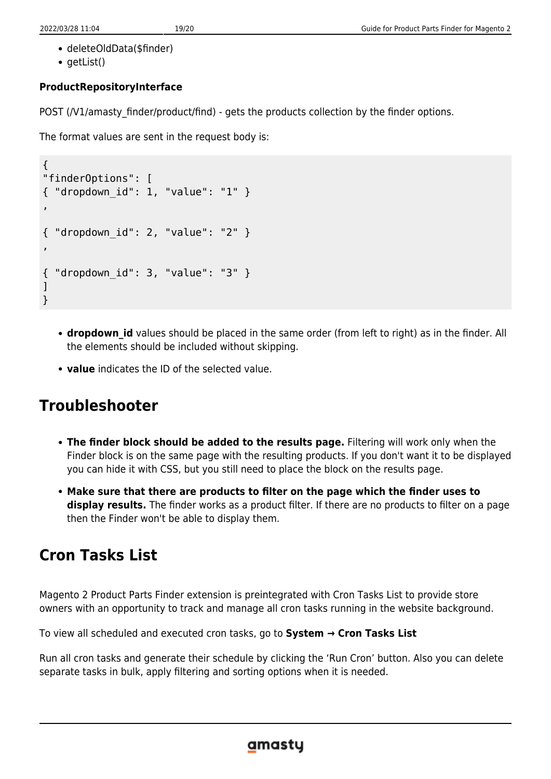- deleteOldData(\$finder)
- getList()

## **ProductRepositoryInterface**

POST (/V1/amasty\_finder/product/find) - gets the products collection by the finder options.

The format values are sent in the request body is:

```
{
"finderOptions": [
{ "dropdown_id": 1, "value": "1" }
,
{ "dropdown_id": 2, "value": "2" }
,
{ "dropdown_id": 3, "value": "3" }
]
}
```
- **dropdown\_id** values should be placed in the same order (from left to right) as in the finder. All the elements should be included without skipping.
- **value** indicates the ID of the selected value.

# **Troubleshooter**

- **The finder block should be added to the results page.** Filtering will work only when the Finder block is on the same page with the resulting products. If you don't want it to be displayed you can hide it with CSS, but you still need to place the block on the results page.
- **Make sure that there are products to filter on the page which the finder uses to display results.** The finder works as a product filter. If there are no products to filter on a page then the Finder won't be able to display them.

# **Cron Tasks List**

Magento 2 Product Parts Finder extension is preintegrated with Cron Tasks List to provide store owners with an opportunity to track and manage all cron tasks running in the website background.

To view all scheduled and executed cron tasks, go to **System → Cron Tasks List**

Run all cron tasks and generate their schedule by clicking the 'Run Cron' button. Also you can delete separate tasks in bulk, apply filtering and sorting options when it is needed.